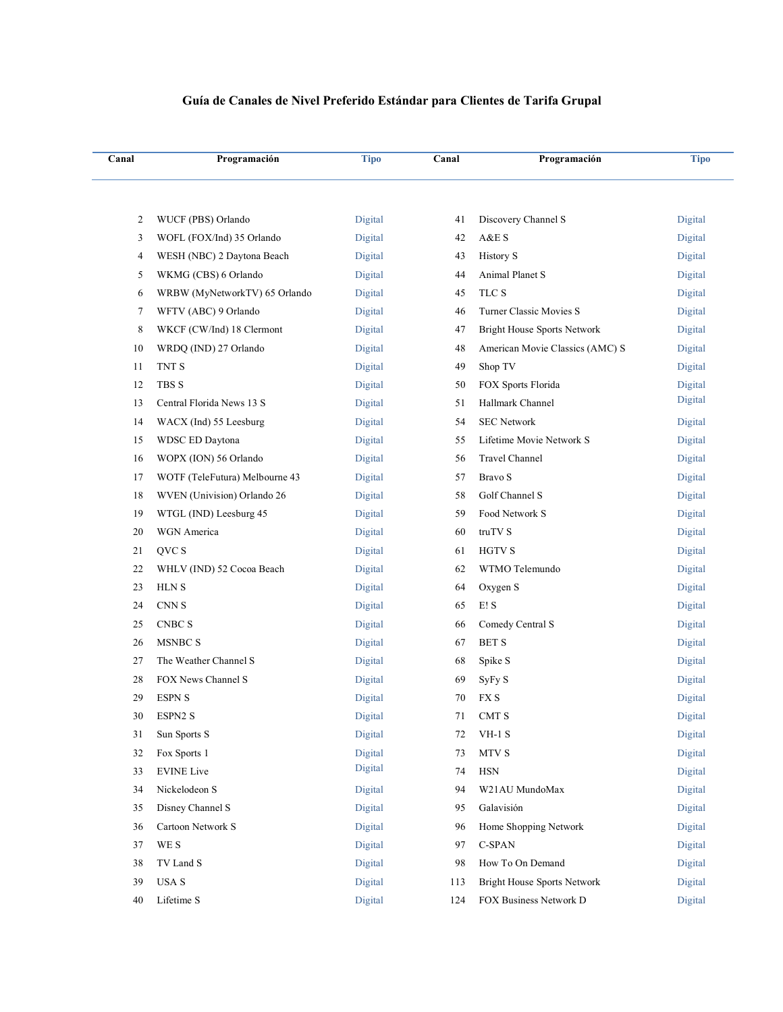## **Guía de Canales de Nivel Preferido Estándar para Clientes de Tarifa Grupal**

| Canal | Programación                          | <b>Tipo</b> | Canal  | Programación                       | <b>Tipo</b> |
|-------|---------------------------------------|-------------|--------|------------------------------------|-------------|
|       |                                       |             |        |                                    |             |
| 2     | WUCF (PBS) Orlando                    | Digital     | 41     | Discovery Channel S                | Digital     |
| 3     | WOFL (FOX/Ind) 35 Orlando             | Digital     | 42     | A&E S                              | Digital     |
| 4     | WESH (NBC) 2 Daytona Beach            | Digital     | 43     | <b>History S</b>                   | Digital     |
| 5     | WKMG (CBS) 6 Orlando                  | Digital     | 44     | Animal Planet S                    | Digital     |
| 6     | WRBW (MyNetworkTV) 65 Orlando         | Digital     | 45     | TLC S                              | Digital     |
| 7     | WFTV (ABC) 9 Orlando                  | Digital     | 46     | Turner Classic Movies S            | Digital     |
| 8     | WKCF (CW/Ind) 18 Clermont             | Digital     | 47     | Bright House Sports Network        | Digital     |
| 10    | WRDQ (IND) 27 Orlando                 | Digital     | 48     | American Movie Classics (AMC) S    | Digital     |
| 11    | TNT S                                 | Digital     | 49     | Shop TV                            | Digital     |
| 12    | <b>TBS S</b>                          | Digital     | 50     | FOX Sports Florida                 | Digital     |
| 13    | Central Florida News 13 S             | Digital     | 51     | Hallmark Channel                   | Digital     |
| 14    | WACX (Ind) 55 Leesburg                | Digital     | 54     | <b>SEC Network</b>                 | Digital     |
| 15    | WDSC ED Daytona                       | Digital     | 55     | Lifetime Movie Network S           | Digital     |
| 16    | WOPX (ION) 56 Orlando                 | Digital     | 56     | Travel Channel                     | Digital     |
| 17    | WOTF (TeleFutura) Melbourne 43        | Digital     | 57     | Bravo S                            | Digital     |
| 18    | WVEN (Univision) Orlando 26           | Digital     | 58     | Golf Channel S                     | Digital     |
| 19    | WTGL (IND) Leesburg 45                | Digital     | 59     | Food Network S                     | Digital     |
| 20    | WGN America                           | Digital     | 60     | truTV S                            | Digital     |
| 21    | QVC S                                 | Digital     | 61     | <b>HGTV S</b>                      | Digital     |
| 22    | WHLV (IND) 52 Cocoa Beach             | Digital     | 62     | WTMO Telemundo                     | Digital     |
| 23    | <b>HLNS</b>                           | Digital     | 64     | Oxygen S                           | Digital     |
| 24    | CNN <sub>S</sub>                      | Digital     | 65     | E! S                               | Digital     |
| 25    | $\ensuremath{\mathrm{CNBC}}\xspace$ S | Digital     | 66     | Comedy Central S                   | Digital     |
| 26    | <b>MSNBC S</b>                        | Digital     | 67     | <b>BET S</b>                       | Digital     |
| 27    | The Weather Channel S                 | Digital     | 68     | Spike S                            | Digital     |
| 28    | FOX News Channel S                    | Digital     | 69     | SyFy S                             | Digital     |
| 29    | <b>ESPN S</b>                         | Digital     | 70     | FX S                               | Digital     |
| 30    | ESPN2 S                               | Digital     | $71\,$ | CMT S                              | Digital     |
| 31    | Sun Sports S                          | Digital     | 72     | $VH-1$ S                           | Digital     |
| 32    | Fox Sports 1                          | Digital     | 73     | MTV S                              | Digital     |
| 33    | <b>EVINE</b> Live                     | Digital     | 74     | <b>HSN</b>                         | Digital     |
| 34    | Nickelodeon S                         | Digital     | 94     | W21AU MundoMax                     | Digital     |
| 35    | Disney Channel S                      | Digital     | 95     | Galavisión                         | Digital     |
| 36    | Cartoon Network S                     | Digital     | 96     | Home Shopping Network              | Digital     |
| 37    | WE S                                  | Digital     | 97     | C-SPAN                             | Digital     |
| 38    | TV Land S                             | Digital     | 98     | How To On Demand                   | Digital     |
| 39    | USA S                                 | Digital     | 113    | <b>Bright House Sports Network</b> | Digital     |
| 40    | Lifetime S                            | Digital     | 124    | FOX Business Network D             | Digital     |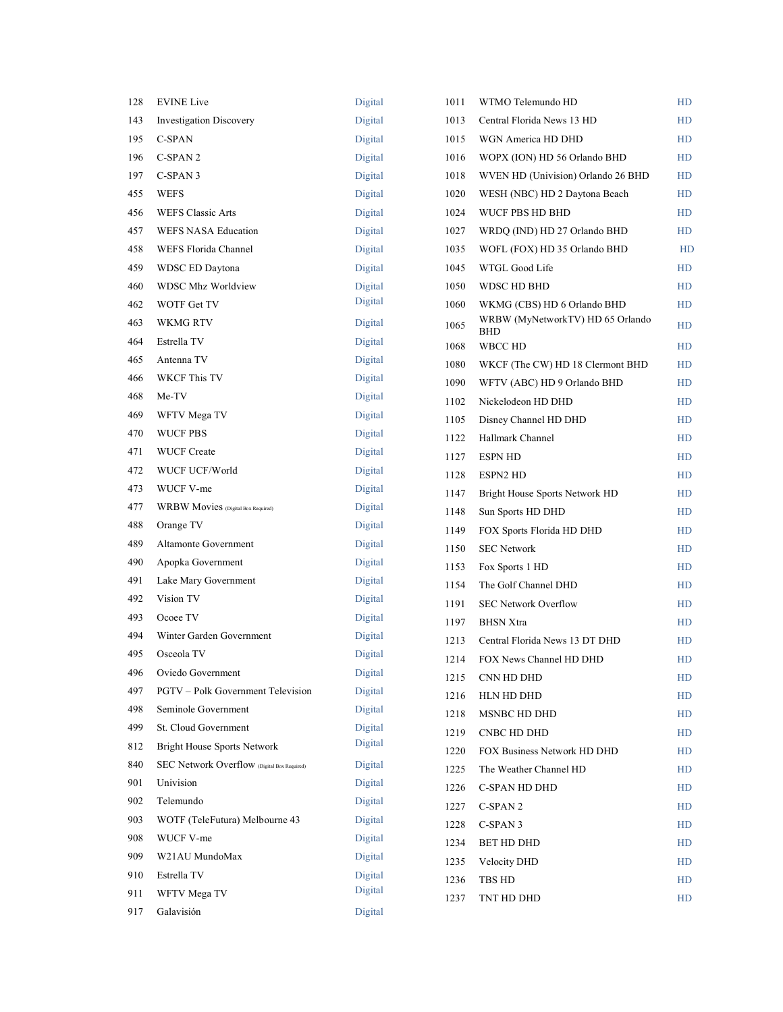| 128 | <b>EVINE Live</b>                           | Digital |
|-----|---------------------------------------------|---------|
| 143 | <b>Investigation Discovery</b>              | Digital |
| 195 | <b>C-SPAN</b>                               | Digital |
| 196 | C-SPAN <sub>2</sub>                         | Digital |
| 197 | C-SPAN 3                                    | Digital |
| 455 | WEFS                                        | Digital |
| 456 | <b>WEFS Classic Arts</b>                    | Digital |
| 457 | <b>WEFS NASA Education</b>                  | Digital |
| 458 | WEFS Florida Channel                        | Digital |
| 459 | WDSC ED Daytona                             | Digital |
| 460 | <b>WDSC Mhz Worldview</b>                   | Digital |
| 462 | WOTF Get TV                                 | Digital |
| 463 | <b>WKMG RTV</b>                             | Digital |
| 464 | Estrella TV                                 | Digital |
| 465 | Antenna TV                                  | Digital |
| 466 | <b>WKCF This TV</b>                         | Digital |
| 468 | Me-TV                                       | Digital |
| 469 | WFTV Mega TV                                | Digital |
| 470 | <b>WUCF PBS</b>                             | Digital |
| 471 | <b>WUCF Create</b>                          | Digital |
| 472 | WUCF UCF/World                              | Digital |
| 473 | WUCF V-me                                   | Digital |
| 477 | WRBW Movies (Digital Box Required)          | Digital |
| 488 | Orange TV                                   | Digital |
| 489 | Altamonte Government                        | Digital |
| 490 | Apopka Government                           | Digital |
| 491 | Lake Mary Government                        | Digital |
| 492 | Vision TV                                   | Digital |
| 493 | Ocoee TV                                    | Digital |
| 494 | Winter Garden Government                    | Digital |
| 495 | Osceola TV                                  | Digital |
| 496 | Oviedo Government                           | Digital |
| 497 | <b>PGTV</b> – Polk Government Television    | Digital |
| 498 | Seminole Government                         | Digital |
| 499 | St. Cloud Government                        | Digital |
| 812 | <b>Bright House Sports Network</b>          | Digital |
| 840 | SEC Network Overflow (Digital Box Required) | Digital |
| 901 | Univision                                   | Digital |
| 902 | Telemundo                                   | Digital |
| 903 | WOTF (TeleFutura) Melbourne 43              | Digital |
| 908 | WUCF V-me                                   | Digital |
| 909 | W21AU MundoMax                              | Digital |
| 910 | Estrella TV                                 | Digital |
| 911 | WFTV Mega TV                                | Digital |
| 917 | Galavisión                                  | Digital |

| 1011 | WTMO Telemundo HD                              | HD        |
|------|------------------------------------------------|-----------|
| 1013 | Central Florida News 13 HD                     | HD        |
| 1015 | WGN America HD DHD                             | HD        |
| 1016 | WOPX (ION) HD 56 Orlando BHD                   | <b>HD</b> |
| 1018 | WVEN HD (Univision) Orlando 26 BHD             | HD        |
| 1020 | WESH (NBC) HD 2 Daytona Beach                  | HD        |
| 1024 | WUCF PBS HD BHD                                | <b>HD</b> |
| 1027 | WRDQ (IND) HD 27 Orlando BHD                   | HD        |
| 1035 | WOFL (FOX) HD 35 Orlando BHD                   | <b>HD</b> |
| 1045 | WTGL Good Life                                 | HD        |
| 1050 | WDSC HD BHD                                    | HD        |
| 1060 | WKMG (CBS) HD 6 Orlando BHD                    | HD        |
| 1065 | WRBW (MyNetworkTV) HD 65 Orlando<br><b>BHD</b> | HD        |
| 1068 | <b>WBCC HD</b>                                 | <b>HD</b> |
| 1080 | WKCF (The CW) HD 18 Clermont BHD               | HD        |
| 1090 | WFTV (ABC) HD 9 Orlando BHD                    | HD        |
| 1102 | Nickelodeon HD DHD                             | HD        |
| 1105 | Disney Channel HD DHD                          | <b>HD</b> |
| 1122 | Hallmark Channel                               | <b>HD</b> |
| 1127 | <b>ESPN HD</b>                                 | HD        |
| 1128 | <b>ESPN2 HD</b>                                | <b>HD</b> |
| 1147 | Bright House Sports Network HD                 | HD        |
| 1148 | Sun Sports HD DHD                              | HD        |
| 1149 | FOX Sports Florida HD DHD                      | HD        |
| 1150 | <b>SEC Network</b>                             | <b>HD</b> |
| 1153 | Fox Sports 1 HD                                | HD        |
| 1154 | The Golf Channel DHD                           | HD        |
| 1191 | <b>SEC Network Overflow</b>                    | HD        |
| 1197 | <b>BHSN</b> Xtra                               | <b>HD</b> |
| 1213 | Central Florida News 13 DT DHD                 | HD        |
| 1214 | FOX News Channel HD DHD                        | HD        |
| 1215 | CNN HD DHD                                     | HD        |
| 1216 | HLN HD DHD                                     | HD        |
| 1218 | <b>MSNBC HD DHD</b>                            | HD        |
| 1219 | <b>CNBC HD DHD</b>                             | HD        |
| 1220 | FOX Business Network HD DHD                    | HD        |
| 1225 | The Weather Channel HD                         | HD        |
| 1226 | <b>C-SPAN HD DHD</b>                           | <b>HD</b> |
| 1227 | C-SPAN 2                                       | HD        |
| 1228 | C-SPAN 3                                       | <b>HD</b> |
| 1234 | BET HD DHD                                     | HD        |
| 1235 | Velocity DHD                                   | HD        |
| 1236 | TBS HD                                         | <b>HD</b> |
| 1237 | TNT HD DHD                                     | HD        |